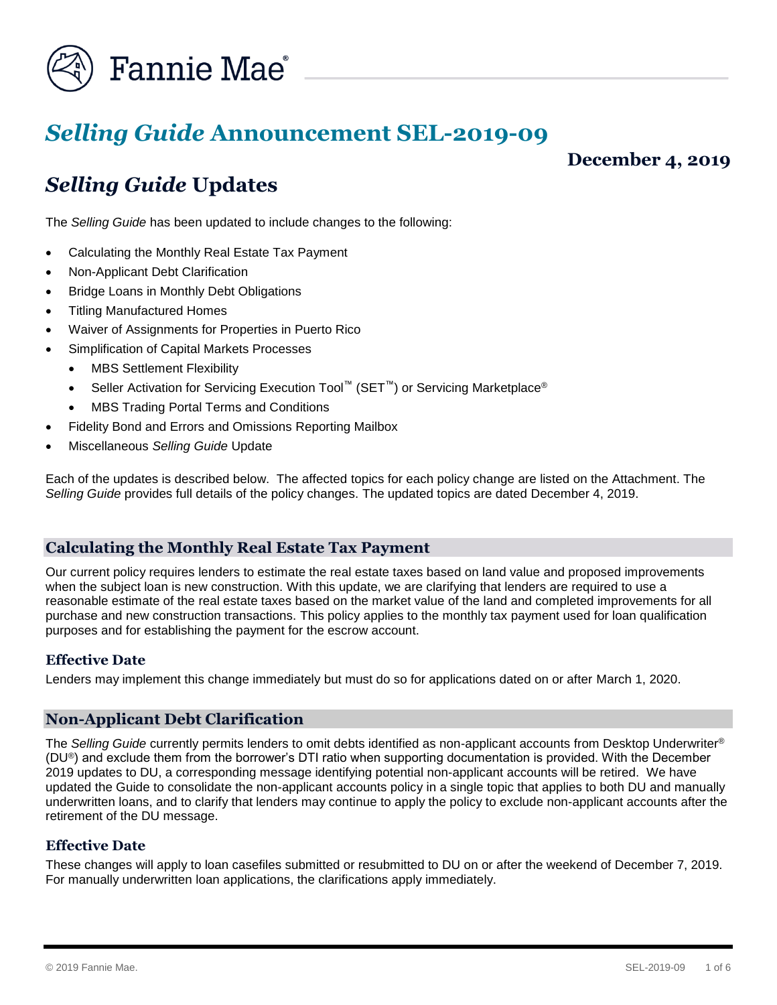

# *Selling Guide* **Announcement SEL-2019-09**

**December 4, 2019**

## *Selling Guide* **Updates**

The *Selling Guide* has been updated to include changes to the following:

- Calculating the Monthly Real Estate Tax Payment
- Non-Applicant Debt Clarification
- Bridge Loans in Monthly Debt Obligations
- Titling Manufactured Homes
- Waiver of Assignments for Properties in Puerto Rico
- Simplification of Capital Markets Processes
	- **MBS Settlement Flexibility**
	- Seller Activation for Servicing Execution Tool<sup>™</sup> (SET<sup>™</sup>) or Servicing Marketplace<sup>®</sup>
	- MBS Trading Portal Terms and Conditions
- Fidelity Bond and Errors and Omissions Reporting Mailbox
- Miscellaneous *Selling Guide* Update

Each of the updates is described below. The affected topics for each policy change are listed on the Attachment. The *Selling Guide* provides full details of the policy changes. The updated topics are dated December 4, 2019.

## **Calculating the Monthly Real Estate Tax Payment**

Our current policy requires lenders to estimate the real estate taxes based on land value and proposed improvements when the subject loan is new construction. With this update, we are clarifying that lenders are required to use a reasonable estimate of the real estate taxes based on the market value of the land and completed improvements for all purchase and new construction transactions. This policy applies to the monthly tax payment used for loan qualification purposes and for establishing the payment for the escrow account.

## **Effective Date**

Lenders may implement this change immediately but must do so for applications dated on or after March 1, 2020.

## **Non-Applicant Debt Clarification**

The *Selling Guide* currently permits lenders to omit debts identified as non-applicant accounts from Desktop Underwriter® (DU®) and exclude them from the borrower's DTI ratio when supporting documentation is provided. With the December 2019 updates to DU, a corresponding message identifying potential non-applicant accounts will be retired. We have updated the Guide to consolidate the non-applicant accounts policy in a single topic that applies to both DU and manually underwritten loans, and to clarify that lenders may continue to apply the policy to exclude non-applicant accounts after the retirement of the DU message.

## **Effective Date**

These changes will apply to loan casefiles submitted or resubmitted to DU on or after the weekend of December 7, 2019. For manually underwritten loan applications, the clarifications apply immediately.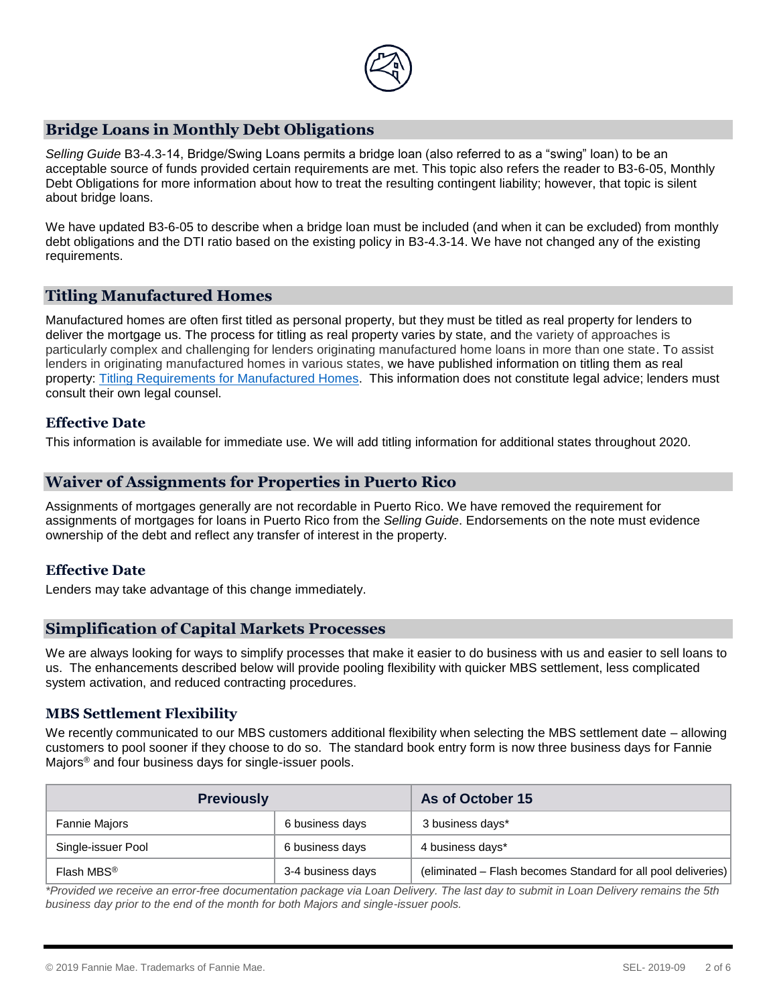

## **Bridge Loans in Monthly Debt Obligations**

*Selling Guide* B3-4.3-14, Bridge/Swing Loans permits a bridge loan (also referred to as a "swing" loan) to be an acceptable source of funds provided certain requirements are met. This topic also refers the reader to B3-6-05, Monthly Debt Obligations for more information about how to treat the resulting contingent liability; however, that topic is silent about bridge loans.

We have updated B3-6-05 to describe when a bridge loan must be included (and when it can be excluded) from monthly debt obligations and the DTI ratio based on the existing policy in B3-4.3-14. We have not changed any of the existing requirements.

## **Titling Manufactured Homes**

Manufactured homes are often first titled as personal property, but they must be titled as real property for lenders to deliver the mortgage us. The process for titling as real property varies by state, and the variety of approaches is particularly complex and challenging for lenders originating manufactured home loans in more than one state. To assist lenders in originating manufactured homes in various states, we have published information on titling them as real property: [Titling Requirements for Manufactured Homes.](https://www.fanniemae.com/content/guide/titling-requirements-for-manufactured-homes.pdf) This information does not constitute legal advice; lenders must consult their own legal counsel.

## **Effective Date**

This information is available for immediate use. We will add titling information for additional states throughout 2020.

## **Waiver of Assignments for Properties in Puerto Rico**

Assignments of mortgages generally are not recordable in Puerto Rico. We have removed the requirement for assignments of mortgages for loans in Puerto Rico from the *Selling Guide*. Endorsements on the note must evidence ownership of the debt and reflect any transfer of interest in the property.

## **Effective Date**

Lenders may take advantage of this change immediately.

## **Simplification of Capital Markets Processes**

We are always looking for ways to simplify processes that make it easier to do business with us and easier to sell loans to us. The enhancements described below will provide pooling flexibility with quicker MBS settlement, less complicated system activation, and reduced contracting procedures.

#### **MBS Settlement Flexibility**

We recently communicated to our MBS customers additional flexibility when selecting the MBS settlement date – allowing customers to pool sooner if they choose to do so. The standard book entry form is now three business days for Fannie Majors® and four business days for single-issuer pools.

| <b>Previously</b>      |                   | As of October 15                                              |
|------------------------|-------------------|---------------------------------------------------------------|
| <b>Fannie Majors</b>   | 6 business days   | 3 business days*                                              |
| Single-issuer Pool     | 6 business days   | 4 business days*                                              |
| Flash MBS <sup>®</sup> | 3-4 business days | (eliminated – Flash becomes Standard for all pool deliveries) |

*\*Provided we receive an error-free documentation package via Loan Delivery. The last day to submit in Loan Delivery remains the 5th business day prior to the end of the month for both Majors and single-issuer pools.*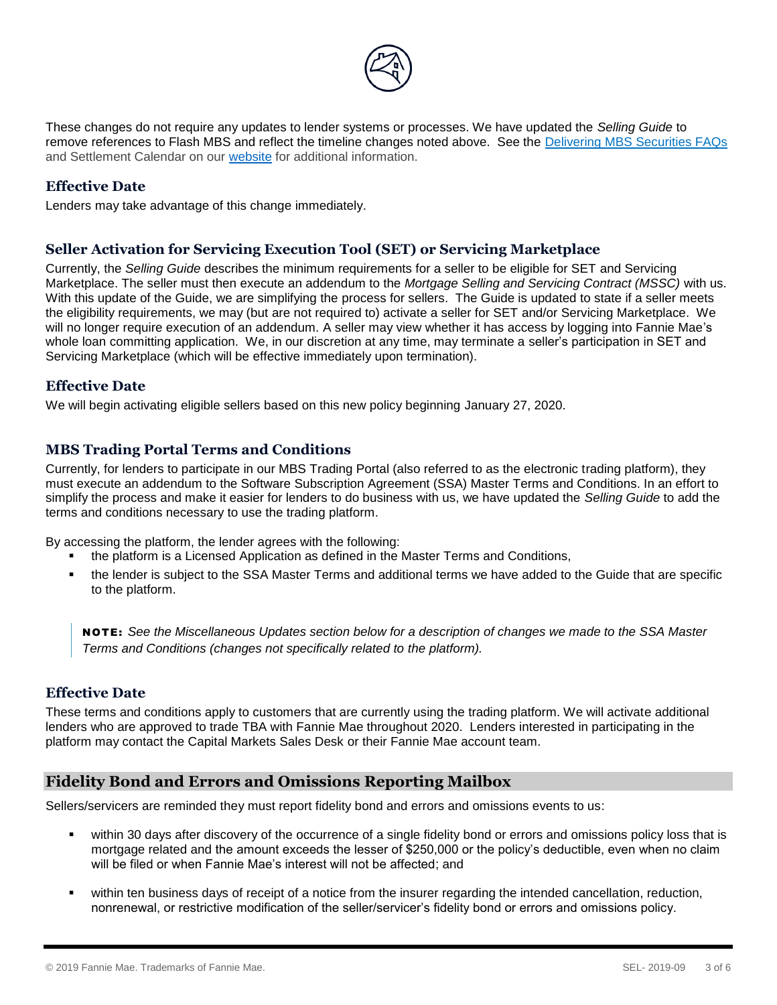

These changes do not require any updates to lender systems or processes. We have updated the *Selling Guide* to remove references to Flash MBS and reflect the timeline changes noted above. See the [Delivering MBS Securities FAQs](https://cl.exct.net/?qs=50da002a5a93fe79570b3cb4b10fb6af30798d5346c0867bb2d5fdce32a4d4b608e11523d20dd2e0697f02e35593ddf83d58196f55e4b4c7) and Settlement Calendar on our [website](https://www.fanniemae.com/singlefamily/loan-delivery) for additional information.

## **Effective Date**

Lenders may take advantage of this change immediately.

## **Seller Activation for Servicing Execution Tool (SET) or Servicing Marketplace**

Currently, the *Selling Guide* describes the minimum requirements for a seller to be eligible for SET and Servicing Marketplace. The seller must then execute an addendum to the *Mortgage Selling and Servicing Contract (MSSC)* with us. With this update of the Guide, we are simplifying the process for sellers. The Guide is updated to state if a seller meets the eligibility requirements, we may (but are not required to) activate a seller for SET and/or Servicing Marketplace. We will no longer require execution of an addendum. A seller may view whether it has access by logging into Fannie Mae's whole loan committing application. We, in our discretion at any time, may terminate a seller's participation in SET and Servicing Marketplace (which will be effective immediately upon termination).

## **Effective Date**

We will begin activating eligible sellers based on this new policy beginning January 27, 2020.

## **MBS Trading Portal Terms and Conditions**

Currently, for lenders to participate in our MBS Trading Portal (also referred to as the electronic trading platform), they must execute an addendum to the Software Subscription Agreement (SSA) Master Terms and Conditions. In an effort to simplify the process and make it easier for lenders to do business with us, we have updated the *Selling Guide* to add the terms and conditions necessary to use the trading platform.

By accessing the platform, the lender agrees with the following:

- the platform is a Licensed Application as defined in the Master Terms and Conditions,
- the lender is subject to the SSA Master Terms and additional terms we have added to the Guide that are specific to the platform.

NO TE : *See the Miscellaneous Updates section below for a description of changes we made to the SSA Master Terms and Conditions (changes not specifically related to the platform).* 

## **Effective Date**

These terms and conditions apply to customers that are currently using the trading platform. We will activate additional lenders who are approved to trade TBA with Fannie Mae throughout 2020. Lenders interested in participating in the platform may contact the Capital Markets Sales Desk or their Fannie Mae account team.

## **Fidelity Bond and Errors and Omissions Reporting Mailbox**

Sellers/servicers are reminded they must report fidelity bond and errors and omissions events to us:

- within 30 days after discovery of the occurrence of a single fidelity bond or errors and omissions policy loss that is mortgage related and the amount exceeds the lesser of \$250,000 or the policy's deductible, even when no claim will be filed or when Fannie Mae's interest will not be affected; and
- within ten business days of receipt of a notice from the insurer regarding the intended cancellation, reduction, nonrenewal, or restrictive modification of the seller/servicer's fidelity bond or errors and omissions policy.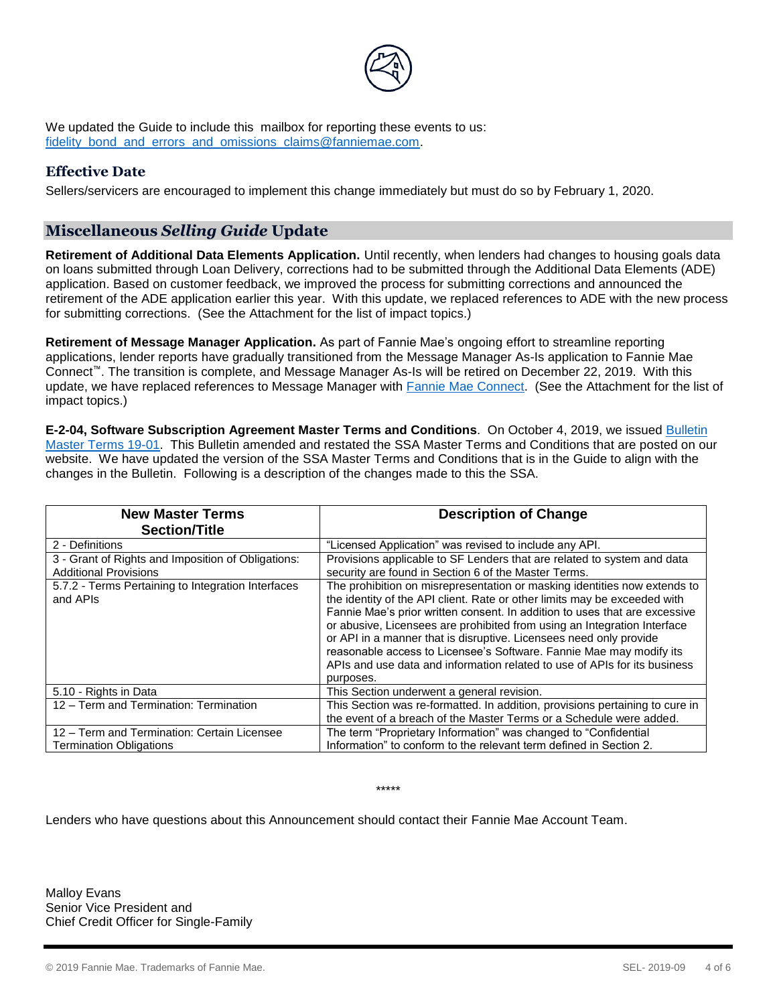

We updated the Guide to include this mailbox for reporting these events to us: fidelity bond and errors and omissions claims@fanniemae.com.

## **Effective Date**

Sellers/servicers are encouraged to implement this change immediately but must do so by February 1, 2020.

## **Miscellaneous** *Selling Guide* **Update**

**Retirement of Additional Data Elements Application.** Until recently, when lenders had changes to housing goals data on loans submitted through Loan Delivery, corrections had to be submitted through the Additional Data Elements (ADE) application. Based on customer feedback, we improved the process for submitting corrections and announced the retirement of the ADE application earlier this year. With this update, we replaced references to ADE with the new process for submitting corrections. (See the Attachment for the list of impact topics.)

**Retirement of Message Manager Application.** As part of Fannie Mae's ongoing effort to streamline reporting applications, lender reports have gradually transitioned from the Message Manager As-Is application to Fannie Mae Connect™. The transition is complete, and Message Manager As-Is will be retired on December 22, 2019. With this update, we have replaced references to Message Manager with [Fannie Mae Connect.](https://www.fanniemae.com/singlefamily/fannie-mae-connect) (See the Attachment for the list of impact topics.)

**E-2-04, Software Subscription Agreement Master Terms and Conditions**. On October 4, 2019, we issued [Bulletin](https://www.fanniemae.com/content/bulletin/master-lender-agreement-bulletin-19-01.pdf)  [Master Terms 19-01.](https://www.fanniemae.com/content/bulletin/master-lender-agreement-bulletin-19-01.pdf) This Bulletin amended and restated the SSA Master Terms and Conditions that are posted on our website. We have updated the version of the SSA Master Terms and Conditions that is in the Guide to align with the changes in the Bulletin. Following is a description of the changes made to this the SSA.

| <b>New Master Terms</b>                                        | <b>Description of Change</b>                                                                                                                                                                                                                                                                                                                                                                                                                                                                                                                            |
|----------------------------------------------------------------|---------------------------------------------------------------------------------------------------------------------------------------------------------------------------------------------------------------------------------------------------------------------------------------------------------------------------------------------------------------------------------------------------------------------------------------------------------------------------------------------------------------------------------------------------------|
| <b>Section/Title</b>                                           |                                                                                                                                                                                                                                                                                                                                                                                                                                                                                                                                                         |
| 2 - Definitions                                                | "Licensed Application" was revised to include any API.                                                                                                                                                                                                                                                                                                                                                                                                                                                                                                  |
| 3 - Grant of Rights and Imposition of Obligations:             | Provisions applicable to SF Lenders that are related to system and data                                                                                                                                                                                                                                                                                                                                                                                                                                                                                 |
| <b>Additional Provisions</b>                                   | security are found in Section 6 of the Master Terms.                                                                                                                                                                                                                                                                                                                                                                                                                                                                                                    |
| 5.7.2 - Terms Pertaining to Integration Interfaces<br>and APIs | The prohibition on misrepresentation or masking identities now extends to<br>the identity of the API client. Rate or other limits may be exceeded with<br>Fannie Mae's prior written consent. In addition to uses that are excessive<br>or abusive, Licensees are prohibited from using an Integration Interface<br>or API in a manner that is disruptive. Licensees need only provide<br>reasonable access to Licensee's Software. Fannie Mae may modify its<br>APIs and use data and information related to use of APIs for its business<br>purposes. |
| 5.10 - Rights in Data                                          | This Section underwent a general revision.                                                                                                                                                                                                                                                                                                                                                                                                                                                                                                              |
| 12 - Term and Termination: Termination                         | This Section was re-formatted. In addition, provisions pertaining to cure in                                                                                                                                                                                                                                                                                                                                                                                                                                                                            |
|                                                                | the event of a breach of the Master Terms or a Schedule were added.                                                                                                                                                                                                                                                                                                                                                                                                                                                                                     |
| 12 - Term and Termination: Certain Licensee                    | The term "Proprietary Information" was changed to "Confidential                                                                                                                                                                                                                                                                                                                                                                                                                                                                                         |
| <b>Termination Obligations</b>                                 | Information" to conform to the relevant term defined in Section 2.                                                                                                                                                                                                                                                                                                                                                                                                                                                                                      |

\*\*\*\*\*

Lenders who have questions about this Announcement should contact their Fannie Mae Account Team.

Malloy Evans Senior Vice President and Chief Credit Officer for Single-Family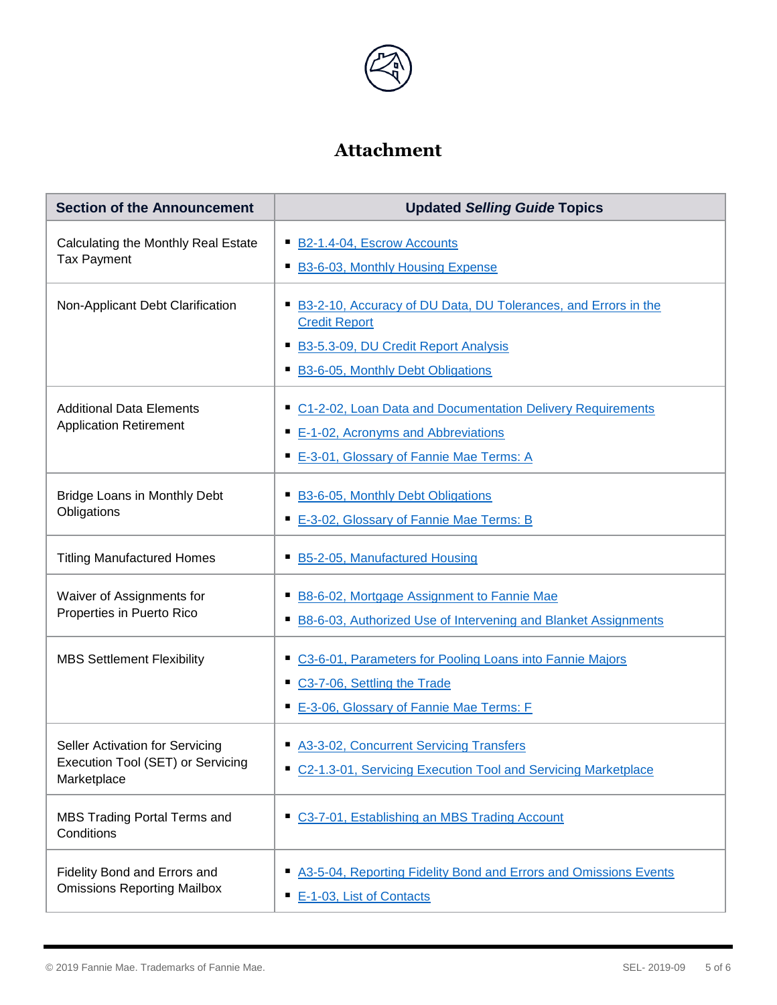

## **Attachment**

| <b>Section of the Announcement</b>                                                  | <b>Updated Selling Guide Topics</b>                                                                                                                                        |  |
|-------------------------------------------------------------------------------------|----------------------------------------------------------------------------------------------------------------------------------------------------------------------------|--|
| Calculating the Monthly Real Estate<br><b>Tax Payment</b>                           | B2-1.4-04, Escrow Accounts<br><b>B3-6-03, Monthly Housing Expense</b>                                                                                                      |  |
| Non-Applicant Debt Clarification                                                    | B3-2-10, Accuracy of DU Data, DU Tolerances, and Errors in the<br><b>Credit Report</b><br>B3-5.3-09, DU Credit Report Analysis<br><b>B3-6-05, Monthly Debt Obligations</b> |  |
| <b>Additional Data Elements</b><br><b>Application Retirement</b>                    | C1-2-02, Loan Data and Documentation Delivery Requirements<br>E-1-02, Acronyms and Abbreviations<br>E-3-01, Glossary of Fannie Mae Terms: A                                |  |
| Bridge Loans in Monthly Debt<br>Obligations                                         | B3-6-05, Monthly Debt Obligations<br>E-3-02, Glossary of Fannie Mae Terms: B                                                                                               |  |
| <b>Titling Manufactured Homes</b>                                                   | B5-2-05, Manufactured Housing                                                                                                                                              |  |
| Waiver of Assignments for<br>Properties in Puerto Rico                              | B8-6-02, Mortgage Assignment to Fannie Mae<br>ш<br>B8-6-03, Authorized Use of Intervening and Blanket Assignments                                                          |  |
| <b>MBS Settlement Flexibility</b>                                                   | C3-6-01, Parameters for Pooling Loans into Fannie Majors<br>ш<br>C3-7-06, Settling the Trade<br>ш<br>E-3-06, Glossary of Fannie Mae Terms: F                               |  |
| Seller Activation for Servicing<br>Execution Tool (SET) or Servicing<br>Marketplace | A3-3-02, Concurrent Servicing Transfers<br>C2-1.3-01, Servicing Execution Tool and Servicing Marketplace                                                                   |  |
| MBS Trading Portal Terms and<br>Conditions                                          | C3-7-01, Establishing an MBS Trading Account                                                                                                                               |  |
| Fidelity Bond and Errors and<br><b>Omissions Reporting Mailbox</b>                  | A3-5-04, Reporting Fidelity Bond and Errors and Omissions Events<br>п<br>E-1-03, List of Contacts                                                                          |  |